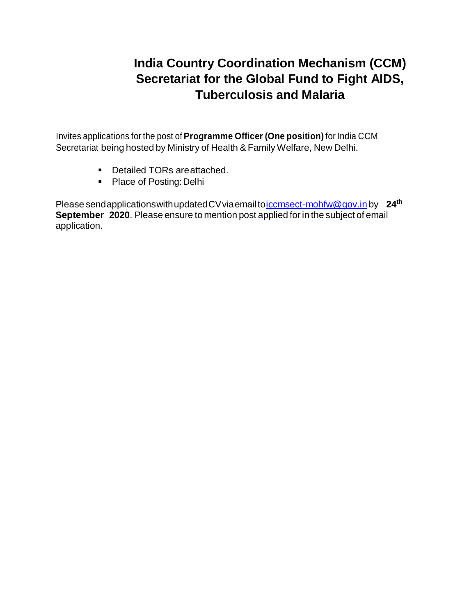# **India Country Coordination Mechanism (CCM) Secretariat for the Global Fund to Fight AIDS, Tuberculosis and Malaria**

Invites applications for the post of **Programme Officer (One position)** for India CCM Secretariat being hosted by Ministry of Health & Family Welfare, New Delhi.

- **Detailed TORs are attached.**
- Place of Posting: Delhi

Please sendapplicationswithupdatedCVviaemailt[oiccmsect-mohfw@gov.in](mailto:iccmsect-mohfw@gov.in) by **24th September 2020**. Please ensure to mention post applied for in the subject of email application.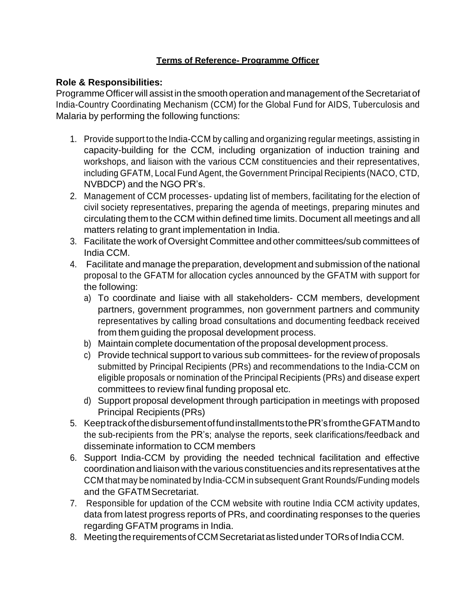### **Terms of Reference- Programme Officer**

### **Role & Responsibilities:**

Programme Officer will assist in the smooth operation and management of the Secretariat of India-Country Coordinating Mechanism (CCM) for the Global Fund for AIDS, Tuberculosis and Malaria by performing the following functions:

- 1. Provide support to the India-CCM by calling and organizing regular meetings, assisting in capacity-building for the CCM, including organization of induction training and workshops, and liaison with the various CCM constituencies and their representatives, including GFATM, Local Fund Agent, the Government Principal Recipients (NACO, CTD, NVBDCP) and the NGO PR's.
- 2. Management of CCM processes- updating list of members, facilitating for the election of civil society representatives, preparing the agenda of meetings, preparing minutes and circulating them to the CCM within defined time limits. Document all meetings and all matters relating to grant implementation in India.
- 3. Facilitate the work of Oversight Committee and other committees/sub committees of India CCM.
- 4. Facilitate and manage the preparation, development and submission of the national proposal to the GFATM for allocation cycles announced by the GFATM with support for the following:
	- a) To coordinate and liaise with all stakeholders- CCM members, development partners, government programmes, non government partners and community representatives by calling broad consultations and documenting feedback received from them guiding the proposal development process.
	- b) Maintain complete documentation of the proposal development process.
	- c) Provide technical support to various sub committees- for the review of proposals submitted by Principal Recipients (PRs) and recommendations to the India-CCM on eligible proposals or nomination of the Principal Recipients (PRs) and disease expert committees to review final funding proposal etc.
	- d) Support proposal development through participation in meetings with proposed Principal Recipients (PRs)
- 5. KeeptrackofthedisbursementoffundinstallmentstothePR'sfromtheGFATMandto the sub-recipients from the PR's; analyse the reports, seek clarifications/feedback and disseminate information to CCM members
- 6. Support India-CCM by providing the needed technical facilitation and effective coordination and liaison with the various constituencies andits representatives at the CCM that may be nominated by India-CCM in subsequent Grant Rounds/Funding models and the GFATMSecretariat.
- 7. Responsible for updation of the CCM website with routine India CCM activity updates, data from latest progress reports of PRs, and coordinating responses to the queries regarding GFATM programs in India.
- 8. Meeting the requirements of CCM Secretariat as listed under TORs of India CCM.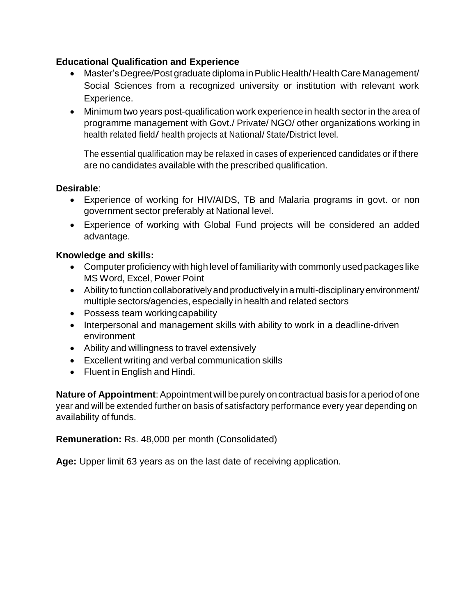### **Educational Qualification and Experience**

- Master'sDegree/Post graduate diploma inPublic Health/Health Care Management/ Social Sciences from a recognized university or institution with relevant work Experience.
- Minimum two years post-qualification work experience in health sector in the area of programme management with Govt./ Private/ NGO/ other organizations working in health related field/ health projects at National/ State/District level.

The essential qualification may be relaxed in cases of experienced candidates or if there are no candidates available with the prescribed qualification.

#### **Desirable**:

- Experience of working for HIV/AIDS, TB and Malaria programs in govt. or non government sector preferably at National level.
- Experience of working with Global Fund projects will be considered an added advantage.

#### **Knowledge and skills:**

- Computer proficiency with high level of familiarity with commonly used packages like MS Word, Excel, Power Point
- Ability to function collaboratively and productively in a multi-disciplinary environment/ multiple sectors/agencies, especially in health and related sectors
- Possess team working capability
- Interpersonal and management skills with ability to work in a deadline-driven environment
- Ability and willingness to travel extensively
- Excellent writing and verbal communication skills
- Fluent in English and Hindi.

**Nature of Appointment**: Appointment will be purely on contractual basis for a period of one year and will be extended further on basis of satisfactory performance every year depending on availability of funds.

**Remuneration:** Rs. 48,000 per month (Consolidated)

**Age:** Upper limit 63 years as on the last date of receiving application.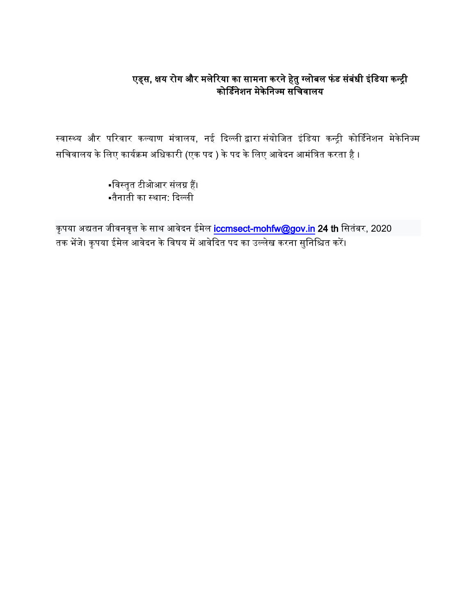### एड्स, क्षय रोग और मलेरिया का सामना करने हेतु ग्लोबल फंड संबंधी इंडिया कन्ट्री कोर्डिनेशन मेकेनिज्म सर्चिवालय

स्वास्थ्य और परिवार कल्याण मंत्रालय, नई दिल्ली द्वारा संयोजित इंडिया कन्ट्री कोर्डिनेशन मेकेनिज्म सचिवालय के लिए कार्यक्रम अधिकारी (एक पद ) के पद के लिए आवेदन आमंत्रित करता है ।

> डवस्तृत टीओआर संलग्न हैं। तैनाती का स्थान: दिल्ली

कृपया अद्यतन जीवनवृत्त के साथ आवेदन ईमेल [iccmsect-mohfw@gov.in](mailto:iccmsect-mohfw@gov.in) 24 th सितंबर, 2020 .<br>तक भेंजे। कृपया ईमेल आवेदन के विषय में आवेदित पद का उल्लेख करना सुनिश्चित करें।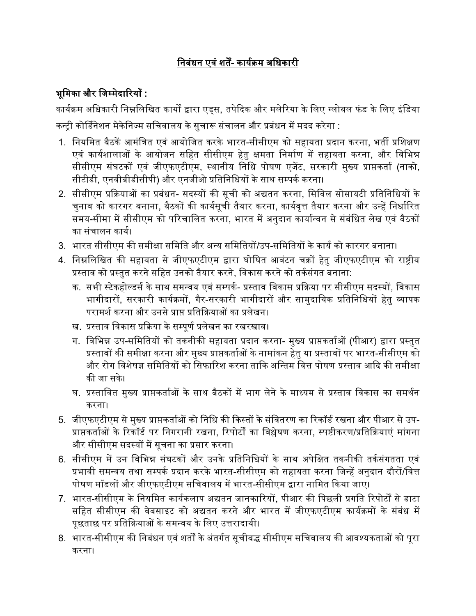# डनबंधन एवं शतें- कायिक्रम अडधकारी

## भूमिका और जिम्मेदारियाँ :

कार्यक्रम अधिकारी निम्नलिखित कार्यों द्वारा एड्स, तपेदिक और मलेरिया के लिए ग्लोबल फंड के लिए इंडिया कन्टी कोर्डिनेशन मेकेनिज्म सचिवालय के सुचारू संचालन और प्रबंधन में मदद करेगा :

- 1. नियमित बैठकें आमंत्रित एवं आयोजित करके भारत-सीसीएम को सहायता प्रदान करना, भर्ती प्रशिक्षण एवं कार्यशालाओं के आयोजन सहित सीसीएम हेतु क्षमता निर्माण में सहायता करना, और विभिन्न सीसीएम संघटकों एवं जीएफएटीएम, स्थानीय निधि पोषण एजेंट, सरकारी मुख्य प्राप्तकर्ता (नाको, सीटीडी, एनवीबीडीसीपी) और एनजीओ प्रतिनिधियों के साथ सम्पर्क करना।
- 2. सीसीएम प्रक्रियाओं का प्रबंधन- सदस्यों की सूची को अद्यतन करना, सिविल सोसायटी प्रतिनिधियों के िुनाव को कारगर बनाना, बैठकों की कायिसूिी तैयार करना, कायिवृत्त तैयार करना और उन्ट्हें डनधािररत समय-सीमा में सीसीएम को परिचालित करना, भारत में अनुदान कार्यान्वन से संबंधित लेख एवं बैठकों का संचालन कार्य।
- 3. भारत सीसीएम की समीक्षा समिति और अन्य समितियों/उप-समितियों के कार्य को कारगर बनाना।
- 4. निम्नलिखित की सहायता से जीएफएटीएम द्वारा घोषित आवंटन चक्रों हेतु जीएफएटीएम को राष्ट्रीय प्रस्ताव को प्रस्तुत करने सडहत उनको तैयार करने, डवकास करने को तकिसंगत बनाना:
	- क. सभी स्टेकहोल्डर्स के साथ समन्वय एवं सम्पर्क- प्रस्ताव विकास प्रक्रिया पर सीसीएम सदस्यों. विकास भागीदारों, सरकारी कार्यक्रमों, गैर-सरकारी भागीदारों और सामुदायिक प्रतिनिधियों हेतु व्यापक परामर्श करना और उनसे प्राप्त प्रतिक्रियाओं का प्रलेखन।
	- ख. प्रस्ताव डवकास प्रदक्रया के सम्पूणि प्रलेखन का रखरखाव।
	- ग. विभिन्न उप-समितियों को तकनीकी सहायता प्रदान करना- मुख्य प्राप्तकर्ताओं (पीआर) द्वारा प्रस्तुत प्रस्तावों की समीक्षा करना और मुख्य प्राप्तकतािओं के नामांकन हेतु या प्रस्तावों पर भारत-सीसीएम को और रोग विशेषज्ञ समितियों को सिफारिश करना ताकि अन्तिम वित्त पोषण प्रस्ताव आदि की समीक्षा की जा सके।
	- घ. प्रस्ताडवत मुख्य प्राप्तकतािओं के साथ बैठकों में भाग लेने के माध्यम से प्रस्ताव डवकास का समथिन करना।
- 5. जीएफएटीएम से मुख्य प्राप्तकर्ताओं को निधि की किस्तों के संवितरण का रिकॉर्ड रखना और पीआर से उप-प्राप्तकर्ताओं के रिकॉर्ड पर निगरानी रखना, रिपोर्टों का विश्लेषण करना, स्पष्टीकरण/प्रतिक्रियाएं मांगना और सीसीएम सदस्यों में सूचना का प्रसार करना।
- 6. सीसीएम में उन विभिन्न संघटकों और उनके प्रतिनिधियों के साथ अपेक्षित तकनीकी तर्कसंगतता एवं प्रभावी समन्वय तथा सम्पर्क प्रदान करके भारत-सीसीएम को सहायता करना जिन्हें अनुदान दौरों/वित्त पोषण मॉडलों और जीएफएटीएम सचिवालय में भारत-सीसीएम द्वारा नामित किया जाए।
- 7. भारत-सीसीएम के नियमित कार्यकलाप अद्यतन जानकारियों, पीआर की पिछली प्रगति रिपोर्टों से डाटा सडहत सीसीएम की वेबसाइट को अद्यतन करने और भारत में िीएफएटीएम कायिक्रमों के संबंध में पृछताछ पर प्रतिक्रियाओं के समन्वय के लिए उत्तरादायी।
- 8. भारत-सीसीएम की निबंधन एवं शर्तों के अंतर्गत सूचीबद्ध सीसीएम सचिवालय की आवश्यकताओं को पूरा करना।